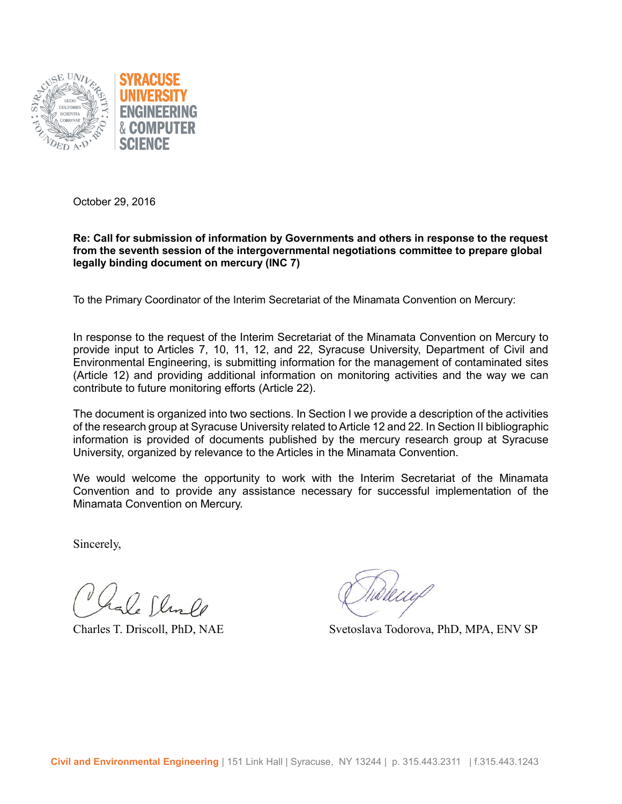

October 29, 2016

#### **Re: Call for submission of information by Governments and others in response to the request from the seventh session of the intergovernmental negotiations committee to prepare global legally binding document on mercury (INC 7)**

To the Primary Coordinator of the Interim Secretariat of the Minamata Convention on Mercury:

In response to the request of the Interim Secretariat of the Minamata Convention on Mercury to provide input to Articles 7, 10, 11, 12, and 22, Syracuse University, Department of Civil and Environmental Engineering, is submitting information for the management of contaminated sites (Article 12) and providing additional information on monitoring activities and the way we can contribute to future monitoring efforts (Article 22).

The document is organized into two sections. In Section I we provide a description of the activities of the research group at Syracuse University related to Article 12 and 22. In Section II bibliographic information is provided of documents published by the mercury research group at Syracuse University, organized by relevance to the Articles in the Minamata Convention.

We would welcome the opportunity to work with the Interim Secretariat of the Minamata Convention and to provide any assistance necessary for successful implementation of the Minamata Convention on Mercury.

Sincerely,

La Clin De

Charles T. Driscoll, PhD, NAE Svetoslava Todorova, PhD, MPA, ENV SP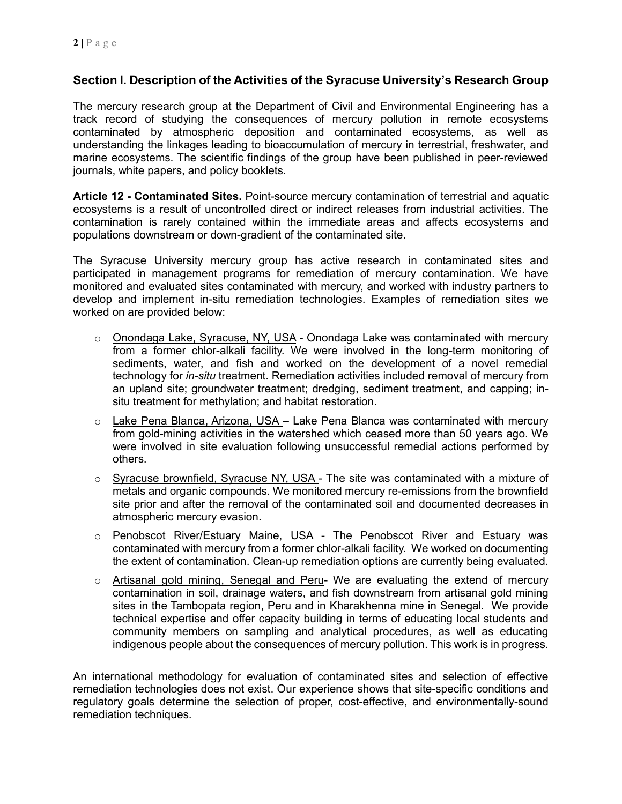# **Section I. Description of the Activities of the Syracuse University's Research Group**

The mercury research group at the Department of Civil and Environmental Engineering has a track record of studying the consequences of mercury pollution in remote ecosystems contaminated by atmospheric deposition and contaminated ecosystems, as well as understanding the linkages leading to bioaccumulation of mercury in terrestrial, freshwater, and marine ecosystems. The scientific findings of the group have been published in peer-reviewed journals, white papers, and policy booklets.

**Article 12 - Contaminated Sites.** Point-source mercury contamination of terrestrial and aquatic ecosystems is a result of uncontrolled direct or indirect releases from industrial activities. The contamination is rarely contained within the immediate areas and affects ecosystems and populations downstream or down-gradient of the contaminated site.

The Syracuse University mercury group has active research in contaminated sites and participated in management programs for remediation of mercury contamination. We have monitored and evaluated sites contaminated with mercury, and worked with industry partners to develop and implement in-situ remediation technologies. Examples of remediation sites we worked on are provided below:

- o Onondaga Lake, Syracuse, NY, USA Onondaga Lake was contaminated with mercury from a former chlor-alkali facility. We were involved in the long-term monitoring of sediments, water, and fish and worked on the development of a novel remedial technology for *in-situ* treatment. Remediation activities included removal of mercury from an upland site; groundwater treatment; dredging, sediment treatment, and capping; insitu treatment for methylation; and habitat restoration.
- $\circ$  Lake Pena Blanca, Arizona, USA Lake Pena Blanca was contaminated with mercury from gold-mining activities in the watershed which ceased more than 50 years ago. We were involved in site evaluation following unsuccessful remedial actions performed by others.
- o Syracuse brownfield, Syracuse NY, USA The site was contaminated with a mixture of metals and organic compounds. We monitored mercury re-emissions from the brownfield site prior and after the removal of the contaminated soil and documented decreases in atmospheric mercury evasion.
- o Penobscot River/Estuary Maine, USA The Penobscot River and Estuary was contaminated with mercury from a former chlor-alkali facility. We worked on documenting the extent of contamination. Clean-up remediation options are currently being evaluated.
- o Artisanal gold mining, Senegal and Peru- We are evaluating the extend of mercury contamination in soil, drainage waters, and fish downstream from artisanal gold mining sites in the Tambopata region, Peru and in Kharakhenna mine in Senegal. We provide technical expertise and offer capacity building in terms of educating local students and community members on sampling and analytical procedures, as well as educating indigenous people about the consequences of mercury pollution. This work is in progress.

An international methodology for evaluation of contaminated sites and selection of effective remediation technologies does not exist. Our experience shows that site-specific conditions and regulatory goals determine the selection of proper, cost-effective, and environmentally-sound remediation techniques.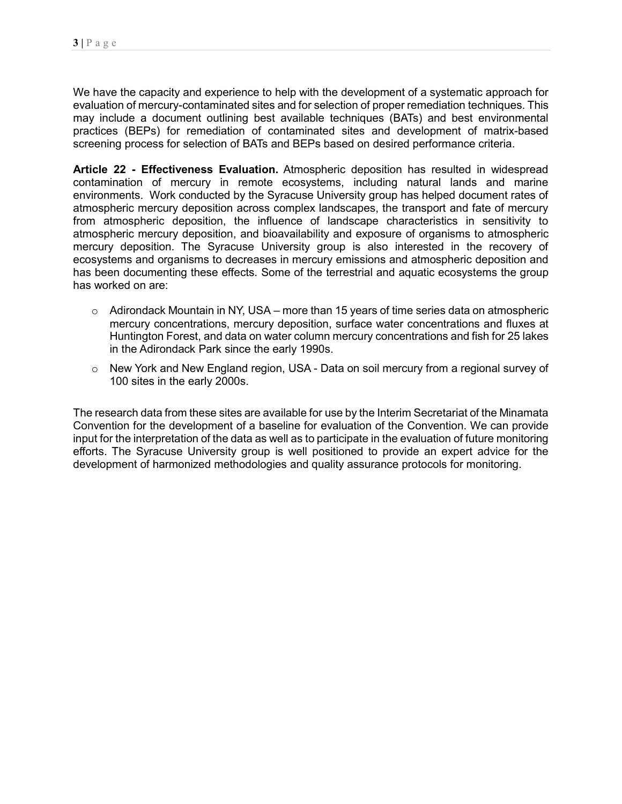We have the capacity and experience to help with the development of a systematic approach for evaluation of mercury-contaminated sites and for selection of proper remediation techniques. This may include a document outlining best available techniques (BATs) and best environmental practices (BEPs) for remediation of contaminated sites and development of matrix-based screening process for selection of BATs and BEPs based on desired performance criteria.

**Article 22 - Effectiveness Evaluation.** Atmospheric deposition has resulted in widespread contamination of mercury in remote ecosystems, including natural lands and marine environments. Work conducted by the Syracuse University group has helped document rates of atmospheric mercury deposition across complex landscapes, the transport and fate of mercury from atmospheric deposition, the influence of landscape characteristics in sensitivity to atmospheric mercury deposition, and bioavailability and exposure of organisms to atmospheric mercury deposition. The Syracuse University group is also interested in the recovery of ecosystems and organisms to decreases in mercury emissions and atmospheric deposition and has been documenting these effects. Some of the terrestrial and aquatic ecosystems the group has worked on are:

- $\circ$  Adirondack Mountain in NY, USA more than 15 years of time series data on atmospheric mercury concentrations, mercury deposition, surface water concentrations and fluxes at Huntington Forest, and data on water column mercury concentrations and fish for 25 lakes in the Adirondack Park since the early 1990s.
- o New York and New England region, USA Data on soil mercury from a regional survey of 100 sites in the early 2000s.

The research data from these sites are available for use by the Interim Secretariat of the Minamata Convention for the development of a baseline for evaluation of the Convention. We can provide input for the interpretation of the data as well as to participate in the evaluation of future monitoring efforts. The Syracuse University group is well positioned to provide an expert advice for the development of harmonized methodologies and quality assurance protocols for monitoring.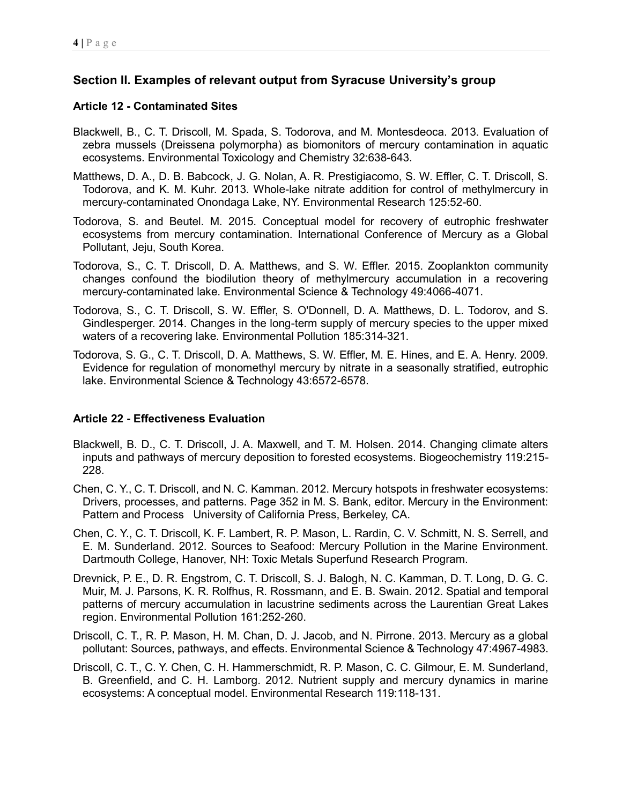# **Section II. Examples of relevant output from Syracuse University's group**

### **Article 12 - Contaminated Sites**

- Blackwell, B., C. T. Driscoll, M. Spada, S. Todorova, and M. Montesdeoca. 2013. Evaluation of zebra mussels (Dreissena polymorpha) as biomonitors of mercury contamination in aquatic ecosystems. Environmental Toxicology and Chemistry 32:638-643.
- Matthews, D. A., D. B. Babcock, J. G. Nolan, A. R. Prestigiacomo, S. W. Effler, C. T. Driscoll, S. Todorova, and K. M. Kuhr. 2013. Whole-lake nitrate addition for control of methylmercury in mercury-contaminated Onondaga Lake, NY. Environmental Research 125:52-60.
- Todorova, S. and Beutel. M. 2015. Conceptual model for recovery of eutrophic freshwater ecosystems from mercury contamination. International Conference of Mercury as a Global Pollutant, Jeju, South Korea.
- Todorova, S., C. T. Driscoll, D. A. Matthews, and S. W. Effler. 2015. Zooplankton community changes confound the biodilution theory of methylmercury accumulation in a recovering mercury-contaminated lake. Environmental Science & Technology 49:4066-4071.
- Todorova, S., C. T. Driscoll, S. W. Effler, S. O'Donnell, D. A. Matthews, D. L. Todorov, and S. Gindlesperger. 2014. Changes in the long-term supply of mercury species to the upper mixed waters of a recovering lake. Environmental Pollution 185:314-321.
- Todorova, S. G., C. T. Driscoll, D. A. Matthews, S. W. Effler, M. E. Hines, and E. A. Henry. 2009. Evidence for regulation of monomethyl mercury by nitrate in a seasonally stratified, eutrophic lake. Environmental Science & Technology 43:6572-6578.

### **Article 22 - Effectiveness Evaluation**

- Blackwell, B. D., C. T. Driscoll, J. A. Maxwell, and T. M. Holsen. 2014. Changing climate alters inputs and pathways of mercury deposition to forested ecosystems. Biogeochemistry 119:215- 228.
- Chen, C. Y., C. T. Driscoll, and N. C. Kamman. 2012. Mercury hotspots in freshwater ecosystems: Drivers, processes, and patterns. Page 352 in M. S. Bank, editor. Mercury in the Environment: Pattern and Process University of California Press, Berkeley, CA.
- Chen, C. Y., C. T. Driscoll, K. F. Lambert, R. P. Mason, L. Rardin, C. V. Schmitt, N. S. Serrell, and E. M. Sunderland. 2012. Sources to Seafood: Mercury Pollution in the Marine Environment. Dartmouth College, Hanover, NH: Toxic Metals Superfund Research Program.
- Drevnick, P. E., D. R. Engstrom, C. T. Driscoll, S. J. Balogh, N. C. Kamman, D. T. Long, D. G. C. Muir, M. J. Parsons, K. R. Rolfhus, R. Rossmann, and E. B. Swain. 2012. Spatial and temporal patterns of mercury accumulation in lacustrine sediments across the Laurentian Great Lakes region. Environmental Pollution 161:252-260.
- Driscoll, C. T., R. P. Mason, H. M. Chan, D. J. Jacob, and N. Pirrone. 2013. Mercury as a global pollutant: Sources, pathways, and effects. Environmental Science & Technology 47:4967-4983.
- Driscoll, C. T., C. Y. Chen, C. H. Hammerschmidt, R. P. Mason, C. C. Gilmour, E. M. Sunderland, B. Greenfield, and C. H. Lamborg. 2012. Nutrient supply and mercury dynamics in marine ecosystems: A conceptual model. Environmental Research 119:118-131.